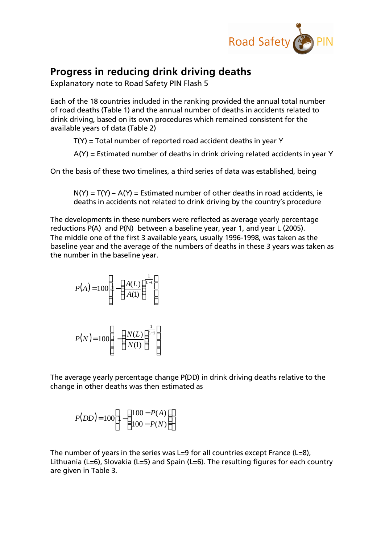

## **Progress in reducing drink driving deaths**

Explanatory note to Road Safety PIN Flash 5

Each of the 18 countries included in the ranking provided the annual total number of road deaths (Table 1) and the annual number of deaths in accidents related to drink driving, based on its own procedures which remained consistent for the available years of data (Table 2)

 $T(Y)$  = Total number of reported road accident deaths in year Y

A(Y) = Estimated number of deaths in drink driving related accidents in year Y

On the basis of these two timelines, a third series of data was established, being

 $N(Y) = T(Y) - A(Y) =$  Estimated number of other deaths in road accidents, ie deaths in accidents not related to drink driving by the country's procedure

The developments in these numbers were reflected as average yearly percentage reductions P(A) and P(N) between a baseline year, year 1, and year L (2005). The middle one of the first 3 available years, usually 1996-1998, was taken as the baseline year and the average of the numbers of deaths in these 3 years was taken as the number in the baseline year.

$$
P(A) = 100 \left[ 1 - \left( \frac{A(L)}{A(1)} \right)^{\frac{1}{L-1}} \right]
$$

$$
P(N) = 100 \left[ 1 - \left( \frac{N(L)}{N(1)} \right)^{\frac{1}{L-1}} \right]
$$

The average yearly percentage change P(DD) in drink driving deaths relative to the change in other deaths was then estimated as

$$
P(DD) = 100 \left[ 1 - \left( \frac{100 - P(A)}{100 - P(N)} \right) \right]
$$

The number of years in the series was L=9 for all countries except France (L=8), Lithuania (L=6), Slovakia (L=5) and Spain (L=6). The resulting figures for each country are given in Table 3.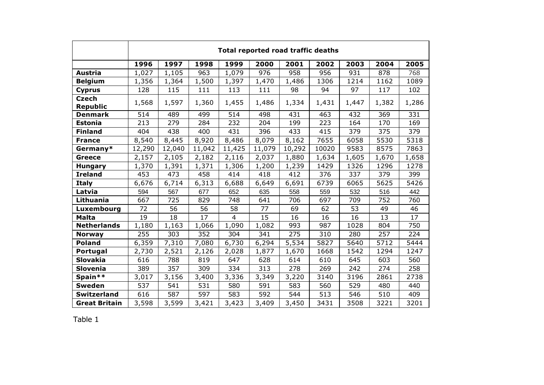|                                 | <b>Total reported road traffic deaths</b> |        |        |                |        |        |       |       |       |       |
|---------------------------------|-------------------------------------------|--------|--------|----------------|--------|--------|-------|-------|-------|-------|
|                                 | 1996                                      | 1997   | 1998   | 1999           | 2000   | 2001   | 2002  | 2003  | 2004  | 2005  |
| Austria                         | 1,027                                     | 1,105  | 963    | 1,079          | 976    | 958    | 956   | 931   | 878   | 768   |
| <b>Belgium</b>                  | 1,356                                     | 1,364  | 1,500  | 1,397          | 1,470  | 1,486  | 1306  | 1214  | 1162  | 1089  |
| <b>Cyprus</b>                   | 128                                       | 115    | 111    | 113            | 111    | 98     | 94    | 97    | 117   | 102   |
| <b>Czech</b><br><b>Republic</b> | 1,568                                     | 1,597  | 1,360  | 1,455          | 1,486  | 1,334  | 1,431 | 1,447 | 1,382 | 1,286 |
| <b>Denmark</b>                  | 514                                       | 489    | 499    | 514            | 498    | 431    | 463   | 432   | 369   | 331   |
| <b>Estonia</b>                  | 213                                       | 279    | 284    | 232            | 204    | 199    | 223   | 164   | 170   | 169   |
| <b>Finland</b>                  | 404                                       | 438    | 400    | 431            | 396    | 433    | 415   | 379   | 375   | 379   |
| <b>France</b>                   | 8,540                                     | 8,445  | 8,920  | 8,486          | 8,079  | 8,162  | 7655  | 6058  | 5530  | 5318  |
| Germany*                        | 12,290                                    | 12,040 | 11,042 | 11,425         | 11,079 | 10,292 | 10020 | 9583  | 8575  | 7863  |
| <b>Greece</b>                   | 2,157                                     | 2,105  | 2,182  | 2,116          | 2,037  | 1,880  | 1,634 | 1,605 | 1,670 | 1,658 |
| <b>Hungary</b>                  | 1,370                                     | 1,391  | 1,371  | 1,306          | 1,200  | 1,239  | 1429  | 1326  | 1296  | 1278  |
| <b>Ireland</b>                  | 453                                       | 473    | 458    | 414            | 418    | 412    | 376   | 337   | 379   | 399   |
| <b>Italy</b>                    | 6,676                                     | 6,714  | 6,313  | 6,688          | 6,649  | 6,691  | 6739  | 6065  | 5625  | 5426  |
| Latvia                          | 594                                       | 567    | 677    | 652            | 635    | 558    | 559   | 532   | 516   | 442   |
| Lithuania                       | 667                                       | 725    | 829    | 748            | 641    | 706    | 697   | 709   | 752   | 760   |
| Luxembourg                      | 72                                        | 56     | 56     | 58             | 77     | 69     | 62    | 53    | 49    | 46    |
| <b>Malta</b>                    | 19                                        | 18     | 17     | $\overline{4}$ | 15     | 16     | 16    | 16    | 13    | 17    |
| <b>Netherlands</b>              | 1,180                                     | 1,163  | 1,066  | 1,090          | 1,082  | 993    | 987   | 1028  | 804   | 750   |
| <b>Norway</b>                   | 255                                       | 303    | 352    | 304            | 341    | 275    | 310   | 280   | 257   | 224   |
| <b>Poland</b>                   | 6,359                                     | 7,310  | 7,080  | 6,730          | 6,294  | 5,534  | 5827  | 5640  | 5712  | 5444  |
| Portugal                        | 2,730                                     | 2,521  | 2,126  | 2,028          | 1,877  | 1,670  | 1668  | 1542  | 1294  | 1247  |
| <b>Slovakia</b>                 | 616                                       | 788    | 819    | 647            | 628    | 614    | 610   | 645   | 603   | 560   |
| Slovenia                        | 389                                       | 357    | 309    | 334            | 313    | 278    | 269   | 242   | 274   | 258   |
| Spain**                         | 3,017                                     | 3,156  | 3,400  | 3,336          | 3,349  | 3,220  | 3140  | 3196  | 2861  | 2738  |
| <b>Sweden</b>                   | 537                                       | 541    | 531    | 580            | 591    | 583    | 560   | 529   | 480   | 440   |
| <b>Switzerland</b>              | 616                                       | 587    | 597    | 583            | 592    | 544    | 513   | 546   | 510   | 409   |
| <b>Great Britain</b>            | 3,598                                     | 3,599  | 3,421  | 3,423          | 3,409  | 3,450  | 3431  | 3508  | 3221  | 3201  |

Table 1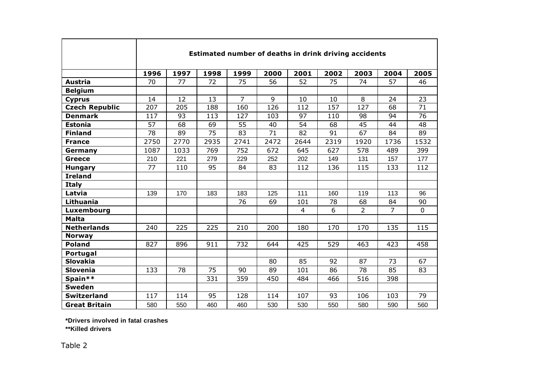|                       | Estimated number of deaths in drink driving accidents |      |      |                |      |      |      |                |                |             |
|-----------------------|-------------------------------------------------------|------|------|----------------|------|------|------|----------------|----------------|-------------|
|                       | 1996                                                  | 1997 | 1998 | 1999           | 2000 | 2001 | 2002 | 2003           | 2004           | 2005        |
| <b>Austria</b>        | 70                                                    | 77   | 72   | 75             | 56   | 52   | 75   | 74             | 57             | 46          |
| <b>Belgium</b>        |                                                       |      |      |                |      |      |      |                |                |             |
| <b>Cyprus</b>         | 14                                                    | 12   | 13   | $\overline{7}$ | 9    | 10   | 10   | 8              | 24             | 23          |
| <b>Czech Republic</b> | 207                                                   | 205  | 188  | 160            | 126  | 112  | 157  | 127            | 68             | 71          |
| <b>Denmark</b>        | 117                                                   | 93   | 113  | 127            | 103  | 97   | 110  | 98             | 94             | 76          |
| <b>Estonia</b>        | 57                                                    | 68   | 69   | 55             | 40   | 54   | 68   | 45             | 44             | 48          |
| <b>Finland</b>        | 78                                                    | 89   | 75   | 83             | 71   | 82   | 91   | 67             | 84             | 89          |
| <b>France</b>         | 2750                                                  | 2770 | 2935 | 2741           | 2472 | 2644 | 2319 | 1920           | 1736           | 1532        |
| Germany               | 1087                                                  | 1033 | 769  | 752            | 672  | 645  | 627  | 578            | 489            | 399         |
| <b>Greece</b>         | 210                                                   | 221  | 279  | 229            | 252  | 202  | 149  | 131            | 157            | 177         |
| <b>Hungary</b>        | 77                                                    | 110  | 95   | 84             | 83   | 112  | 136  | 115            | 133            | 112         |
| <b>Ireland</b>        |                                                       |      |      |                |      |      |      |                |                |             |
| <b>Italy</b>          |                                                       |      |      |                |      |      |      |                |                |             |
| Latvia                | 139                                                   | 170  | 183  | 183            | 125  | 111  | 160  | 119            | 113            | 96          |
| Lithuania             |                                                       |      |      | 76             | 69   | 101  | 78   | 68             | 84             | 90          |
| Luxembourg            |                                                       |      |      |                |      | 4    | 6    | $\overline{2}$ | $\overline{7}$ | $\mathbf 0$ |
| <b>Malta</b>          |                                                       |      |      |                |      |      |      |                |                |             |
| <b>Netherlands</b>    | 240                                                   | 225  | 225  | 210            | 200  | 180  | 170  | 170            | 135            | 115         |
| <b>Norway</b>         |                                                       |      |      |                |      |      |      |                |                |             |
| <b>Poland</b>         | 827                                                   | 896  | 911  | 732            | 644  | 425  | 529  | 463            | 423            | 458         |
| Portugal              |                                                       |      |      |                |      |      |      |                |                |             |
| <b>Slovakia</b>       |                                                       |      |      |                | 80   | 85   | 92   | 87             | 73             | 67          |
| <b>Slovenia</b>       | 133                                                   | 78   | 75   | 90             | 89   | 101  | 86   | 78             | 85             | 83          |
| Spain**               |                                                       |      | 331  | 359            | 450  | 484  | 466  | 516            | 398            |             |
| <b>Sweden</b>         |                                                       |      |      |                |      |      |      |                |                |             |
| <b>Switzerland</b>    | 117                                                   | 114  | 95   | 128            | 114  | 107  | 93   | 106            | 103            | 79          |
| <b>Great Britain</b>  | 580                                                   | 550  | 460  | 460            | 530  | 530  | 550  | 580            | 590            | 560         |

**\*Drivers involved in fatal crashes**

**\*\*Killed drivers**